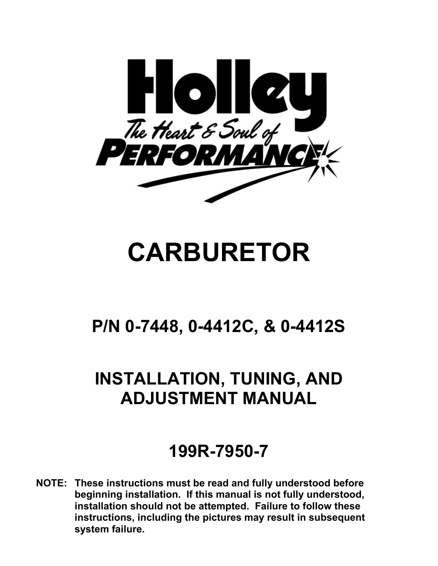

# **CARBURETOR**

# **P/N 0-7448, 0-4412C, & 0-4412S**

# **INSTALLATION, TUNING, AND ADJUSTMENT MANUAL**

# **199R-7950-7**

**NOTE: These instructions must be read and fully understood before beginning installation. If this manual is not fully understood, installation should not be attempted. Failure to follow these instructions, including the pictures may result in subsequent system failure.**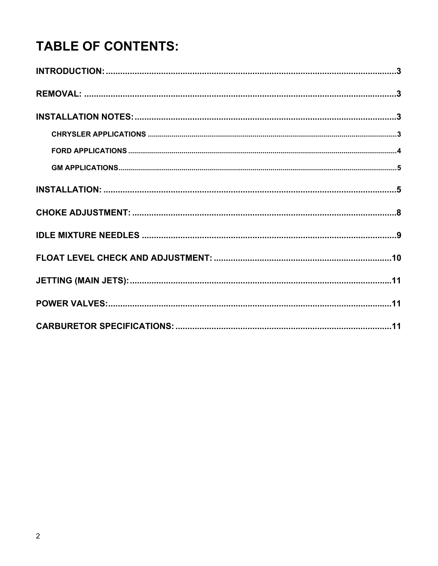# **TABLE OF CONTENTS:**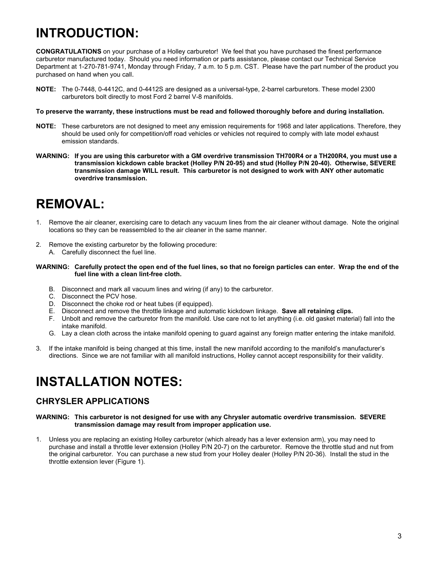### <span id="page-2-0"></span>**INTRODUCTION:**

**CONGRATULATIONS** on your purchase of a Holley carburetor! We feel that you have purchased the finest performance carburetor manufactured today. Should you need information or parts assistance, please contact our Technical Service Department at 1-270-781-9741, Monday through Friday, 7 a.m. to 5 p.m. CST. Please have the part number of the product you purchased on hand when you call.

**NOTE:** The 0-7448, 0-4412C, and 0-4412S are designed as a universal-type, 2-barrel carburetors. These model 2300 carburetors bolt directly to most Ford 2 barrel V-8 manifolds.

### **To preserve the warranty, these instructions must be read and followed thoroughly before and during installation.**

- **NOTE:** These carburetors are not designed to meet any emission requirements for 1968 and later applications. Therefore, they should be used only for competition/off road vehicles or vehicles not required to comply with late model exhaust emission standards.
- **WARNING: If you are using this carburetor with a GM overdrive transmission TH700R4 or a TH200R4, you must use a transmission kickdown cable bracket (Holley P/N 20-95) and stud (Holley P/N 20-40). Otherwise, SEVERE transmission damage WILL result. This carburetor is not designed to work with ANY other automatic overdrive transmission.**

### <span id="page-2-1"></span>**REMOVAL:**

- 1. Remove the air cleaner, exercising care to detach any vacuum lines from the air cleaner without damage. Note the original locations so they can be reassembled to the air cleaner in the same manner.
- 2. Remove the existing carburetor by the following procedure:
	- A. Carefully disconnect the fuel line.

### **WARNING: Carefully protect the open end of the fuel lines, so that no foreign particles can enter. Wrap the end of the fuel line with a clean lint-free cloth.**

- B. Disconnect and mark all vacuum lines and wiring (if any) to the carburetor.
- C. Disconnect the PCV hose.
- D. Disconnect the choke rod or heat tubes (if equipped).
- E. Disconnect and remove the throttle linkage and automatic kickdown linkage. **Save all retaining clips.**
- F. Unbolt and remove the carburetor from the manifold. Use care not to let anything (i.e. old gasket material) fall into the intake manifold.
- G. Lay a clean cloth across the intake manifold opening to guard against any foreign matter entering the intake manifold.
- 3. If the intake manifold is being changed at this time, install the new manifold according to the manifoldís manufacturerís directions. Since we are not familiar with all manifold instructions, Holley cannot accept responsibility for their validity.

### <span id="page-2-2"></span>**INSTALLATION NOTES:**

### <span id="page-2-3"></span>**CHRYSLER APPLICATIONS**

### **WARNING: This carburetor is not designed for use with any Chrysler automatic overdrive transmission. SEVERE transmission damage may result from improper application use.**

1. Unless you are replacing an existing Holley carburetor (which already has a lever extension arm), you may need to purchase and install a throttle lever extension (Holley P/N 20-7) on the carburetor. Remove the throttle stud and nut from the original carburetor. You can purchase a new stud from your Holley dealer (Holley P/N 20-36). Install the stud in the throttle extension lever (Figure 1).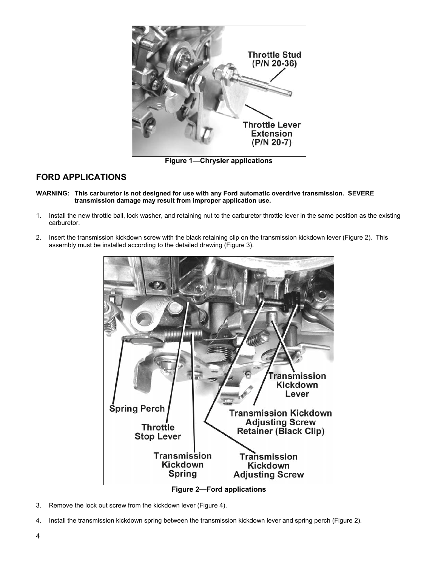

**Figure 1–Chrysler applications** 

### <span id="page-3-0"></span>**FORD APPLICATIONS**

- **WARNING: This carburetor is not designed for use with any Ford automatic overdrive transmission. SEVERE transmission damage may result from improper application use.**
- 1. Install the new throttle ball, lock washer, and retaining nut to the carburetor throttle lever in the same position as the existing carburetor.
- 2. Insert the transmission kickdown screw with the black retaining clip on the transmission kickdown lever (Figure 2). This assembly must be installed according to the detailed drawing (Figure 3).



- 3. Remove the lock out screw from the kickdown lever (Figure 4).
- 4. Install the transmission kickdown spring between the transmission kickdown lever and spring perch (Figure 2).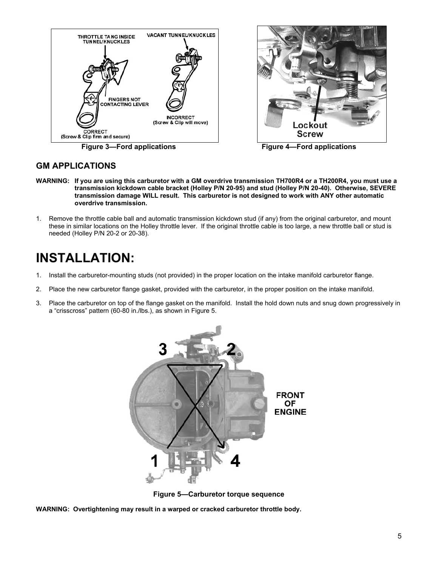



**Figure 3—Ford applications Figure 4—Ford applications** 

### <span id="page-4-0"></span>**GM APPLICATIONS**

- **WARNING: If you are using this carburetor with a GM overdrive transmission TH700R4 or a TH200R4, you must use a transmission kickdown cable bracket (Holley P/N 20-95) and stud (Holley P/N 20-40). Otherwise, SEVERE transmission damage WILL result. This carburetor is not designed to work with ANY other automatic overdrive transmission.**
- 1. Remove the throttle cable ball and automatic transmission kickdown stud (if any) from the original carburetor, and mount these in similar locations on the Holley throttle lever. If the original throttle cable is too large, a new throttle ball or stud is needed (Holley P/N 20-2 or 20-38).

### <span id="page-4-1"></span>**INSTALLATION:**

- 1. Install the carburetor-mounting studs (not provided) in the proper location on the intake manifold carburetor flange.
- 2. Place the new carburetor flange gasket, provided with the carburetor, in the proper position on the intake manifold.
- 3. Place the carburetor on top of the flange gasket on the manifold. Install the hold down nuts and snug down progressively in a "crisscross" pattern (60-80 in./lbs.), as shown in Figure 5.



**Figure 5-Carburetor torque sequence** 

**WARNING: Overtightening may result in a warped or cracked carburetor throttle body.**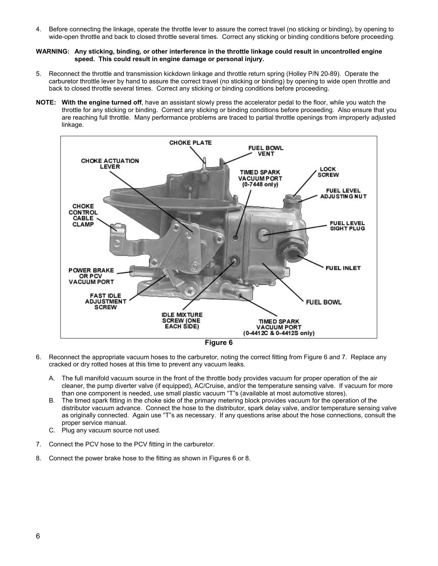4. Before connecting the linkage, operate the throttle lever to assure the correct travel (no sticking or binding), by opening to wide-open throttle and back to closed throttle several times. Correct any sticking or binding conditions before proceeding.

### **WARNING: Any sticking, binding, or other interference in the throttle linkage could result in uncontrolled engine speed. This could result in engine damage or personal injury.**

- 5. Reconnect the throttle and transmission kickdown linkage and throttle return spring (Holley P/N 20-89). Operate the carburetor throttle lever by hand to assure the correct travel (no sticking or binding) by opening to wide open throttle and back to closed throttle several times. Correct any sticking or binding conditions before proceeding.
- **NOTE: With the engine turned off**, have an assistant slowly press the accelerator pedal to the floor, while you watch the throttle for any sticking or binding. Correct any sticking or binding conditions before proceeding. Also ensure that you are reaching full throttle. Many performance problems are traced to partial throttle openings from improperly adjusted linkage.



- 6. Reconnect the appropriate vacuum hoses to the carburetor, noting the correct fitting from Figure 6 and 7. Replace any cracked or dry rotted hoses at this time to prevent any vacuum leaks.
	- A. The full manifold vacuum source in the front of the throttle body provides vacuum for proper operation of the air cleaner, the pump diverter valve (if equipped), AC/Cruise, and/or the temperature sensing valve. If vacuum for more than one component is needed, use small plastic vacuum "T"s (available at most automotive stores).
	- B. The timed spark fitting in the choke side of the primary metering block provides vacuum for the operation of the distributor vacuum advance. Connect the hose to the distributor, spark delay valve, and/or temperature sensing valve as originally connected. Again use "T"s as necessary. If any questions arise about the hose connections, consult the proper service manual.
	- C. Plug any vacuum source not used.
- 7. Connect the PCV hose to the PCV fitting in the carburetor.
- 8. Connect the power brake hose to the fitting as shown in Figures 6 or 8.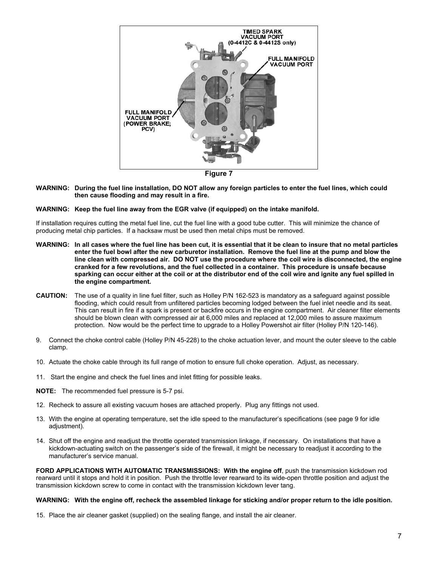

**Figure 7**

**WARNING: During the fuel line installation, DO NOT allow any foreign particles to enter the fuel lines, which could then cause flooding and may result in a fire.**

### **WARNING: Keep the fuel line away from the EGR valve (if equipped) on the intake manifold.**

If installation requires cutting the metal fuel line, cut the fuel line with a good tube cutter. This will minimize the chance of producing metal chip particles. If a hacksaw must be used then metal chips must be removed.

- **WARNING: In all cases where the fuel line has been cut, it is essential that it be clean to insure that no metal particles enter the fuel bowl after the new carburetor installation. Remove the fuel line at the pump and blow the line clean with compressed air. DO NOT use the procedure where the coil wire is disconnected, the engine cranked for a few revolutions, and the fuel collected in a container. This procedure is unsafe because sparking can occur either at the coil or at the distributor end of the coil wire and ignite any fuel spilled in the engine compartment.**
- **CAUTION:** The use of a quality in line fuel filter, such as Holley P/N 162-523 is mandatory as a safeguard against possible flooding, which could result from unfiltered particles becoming lodged between the fuel inlet needle and its seat. This can result in fire if a spark is present or backfire occurs in the engine compartment. Air cleaner filter elements should be blown clean with compressed air at 6,000 miles and replaced at 12,000 miles to assure maximum protection. Now would be the perfect time to upgrade to a Holley Powershot air filter (Holley P/N 120-146).
- 9. Connect the choke control cable (Holley P/N 45-228) to the choke actuation lever, and mount the outer sleeve to the cable clamp.
- 10. Actuate the choke cable through its full range of motion to ensure full choke operation. Adjust, as necessary.
- 11. Start the engine and check the fuel lines and inlet fitting for possible leaks.

**NOTE:** The recommended fuel pressure is 5-7 psi.

- 12. Recheck to assure all existing vacuum hoses are attached properly. Plug any fittings not used.
- 13. With the engine at operating temperature, set the idle speed to the manufacturer's specifications (see page [9 f](#page-8-0)or idle adjustment).
- 14. Shut off the engine and readjust the throttle operated transmission linkage, if necessary. On installations that have a kickdown-actuating switch on the passenger's side of the firewall, it might be necessary to readjust it according to the manufacturer's service manual.

**FORD APPLICATIONS WITH AUTOMATIC TRANSMISSIONS: With the engine off**, push the transmission kickdown rod rearward until it stops and hold it in position. Push the throttle lever rearward to its wide-open throttle position and adjust the transmission kickdown screw to come in contact with the transmission kickdown lever tang.

#### **WARNING: With the engine off, recheck the assembled linkage for sticking and/or proper return to the idle position.**

15. Place the air cleaner gasket (supplied) on the sealing flange, and install the air cleaner.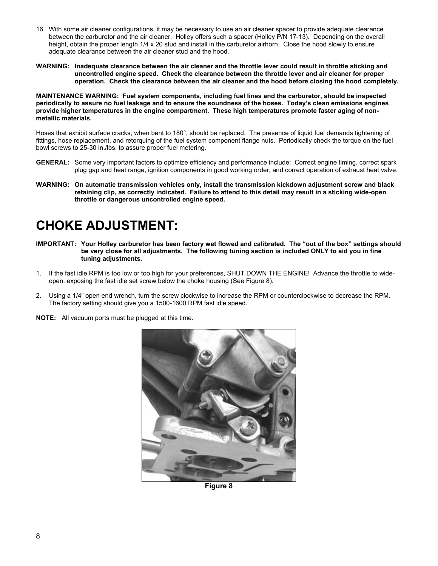- 16. With some air cleaner configurations, it may be necessary to use an air cleaner spacer to provide adequate clearance between the carburetor and the air cleaner. Holley offers such a spacer (Holley P/N 17-13). Depending on the overall height, obtain the proper length 1/4 x 20 stud and install in the carburetor airhorn. Close the hood slowly to ensure adequate clearance between the air cleaner stud and the hood.
- **WARNING: Inadequate clearance between the air cleaner and the throttle lever could result in throttle sticking and uncontrolled engine speed. Check the clearance between the throttle lever and air cleaner for proper operation. Check the clearance between the air cleaner and the hood before closing the hood completely.**

**MAINTENANCE WARNING: Fuel system components, including fuel lines and the carburetor, should be inspected periodically to assure no fuel leakage and to ensure the soundness of the hoses. Todayís clean emissions engines provide higher temperatures in the engine compartment. These high temperatures promote faster aging of nonmetallic materials.**

Hoses that exhibit surface cracks, when bent to 180°, should be replaced. The presence of liquid fuel demands tightening of fittings, hose replacement, and retorquing of the fuel system component flange nuts. Periodically check the torque on the fuel bowl screws to 25-30 in./lbs. to assure proper fuel metering.

- **GENERAL:** Some very important factors to optimize efficiency and performance include: Correct engine timing, correct spark plug gap and heat range, ignition components in good working order, and correct operation of exhaust heat valve.
- **WARNING: On automatic transmission vehicles only, install the transmission kickdown adjustment screw and black retaining clip, as correctly indicated. Failure to attend to this detail may result in a sticking wide-open throttle or dangerous uncontrolled engine speed.**

### <span id="page-7-0"></span>**CHOKE ADJUSTMENT:**

- **IMPORTANT:** Your Holley carburetor has been factory wet flowed and calibrated. The "out of the box" settings should **be very close for all adjustments. The following tuning section is included ONLY to aid you in fine tuning adjustments.**
- 1. If the fast idle RPM is too low or too high for your preferences, SHUT DOWN THE ENGINE! Advance the throttle to wideopen, exposing the fast idle set screw below the choke housing (See Figure 8).
- 2. Using a 1/4î open end wrench, turn the screw clockwise to increase the RPM or counterclockwise to decrease the RPM. The factory setting should give you a 1500-1600 RPM fast idle speed.
- **NOTE:** All vacuum ports must be plugged at this time.



**Figure 8**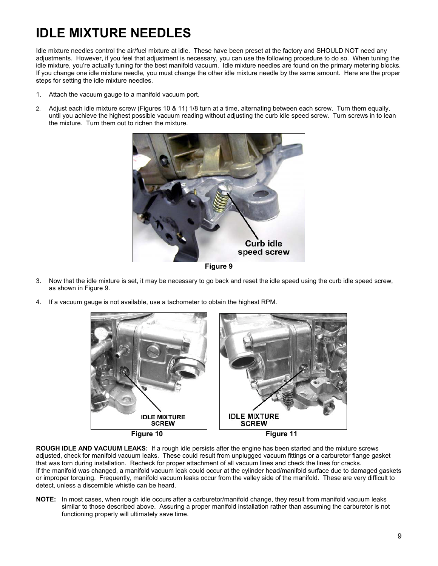# <span id="page-8-0"></span>**IDLE MIXTURE NEEDLES**

Idle mixture needles control the air/fuel mixture at idle. These have been preset at the factory and SHOULD NOT need any adjustments. However, if you feel that adjustment is necessary, you can use the following procedure to do so. When tuning the idle mixture, you're actually tuning for the best manifold vacuum. Idle mixture needles are found on the primary metering blocks. If you change one idle mixture needle, you must change the other idle mixture needle by the same amount. Here are the proper steps for setting the idle mixture needles.

- 1. Attach the vacuum gauge to a manifold vacuum port.
- 2. Adjust each idle mixture screw (Figures 10 & 11) 1/8 turn at a time, alternating between each screw. Turn them equally, until you achieve the highest possible vacuum reading without adjusting the curb idle speed screw. Turn screws in to lean the mixture. Turn them out to richen the mixture.



**Figure 9**

- 3. Now that the idle mixture is set, it may be necessary to go back and reset the idle speed using the curb idle speed screw, as shown in Figure 9.
- 4. If a vacuum gauge is not available, use a tachometer to obtain the highest RPM.



**ROUGH IDLE AND VACUUM LEAKS:** If a rough idle persists after the engine has been started and the mixture screws adjusted, check for manifold vacuum leaks. These could result from unplugged vacuum fittings or a carburetor flange gasket that was torn during installation. Recheck for proper attachment of all vacuum lines and check the lines for cracks. If the manifold was changed, a manifold vacuum leak could occur at the cylinder head/manifold surface due to damaged gaskets or improper torquing. Frequently, manifold vacuum leaks occur from the valley side of the manifold. These are very difficult to detect, unless a discernible whistle can be heard.

**NOTE:** In most cases, when rough idle occurs after a carburetor/manifold change, they result from manifold vacuum leaks similar to those described above. Assuring a proper manifold installation rather than assuming the carburetor is not functioning properly will ultimately save time.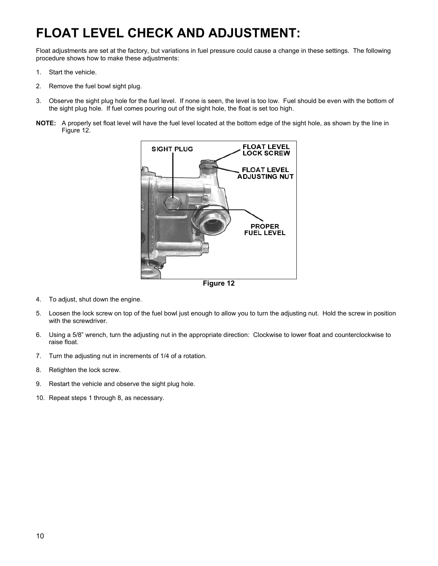# <span id="page-9-0"></span>**FLOAT LEVEL CHECK AND ADJUSTMENT:**

Float adjustments are set at the factory, but variations in fuel pressure could cause a change in these settings. The following procedure shows how to make these adjustments:

- 1. Start the vehicle.
- 2. Remove the fuel bowl sight plug.
- 3. Observe the sight plug hole for the fuel level. If none is seen, the level is too low. Fuel should be even with the bottom of the sight plug hole. If fuel comes pouring out of the sight hole, the float is set too high.
- **NOTE:** A properly set float level will have the fuel level located at the bottom edge of the sight hole, as shown by the line in Figure 12.



**Figure 12**

- 4. To adjust, shut down the engine.
- 5. Loosen the lock screw on top of the fuel bowl just enough to allow you to turn the adjusting nut. Hold the screw in position with the screwdriver.
- 6. Using a 5/8î wrench, turn the adjusting nut in the appropriate direction: Clockwise to lower float and counterclockwise to raise float.
- 7. Turn the adjusting nut in increments of 1/4 of a rotation.
- 8. Retighten the lock screw.
- 9. Restart the vehicle and observe the sight plug hole.
- 10. Repeat steps 1 through 8, as necessary.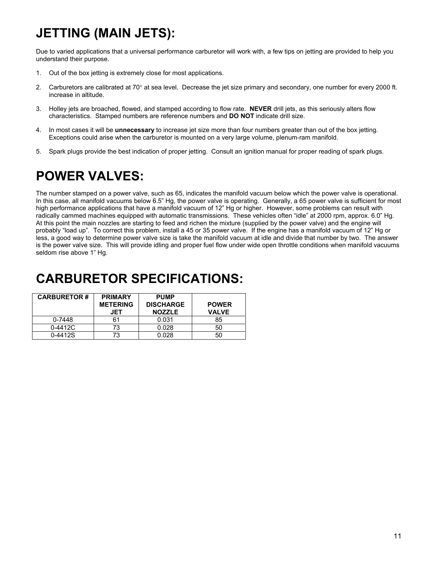# <span id="page-10-0"></span>**JETTING (MAIN JETS):**

Due to varied applications that a universal performance carburetor will work with, a few tips on jetting are provided to help you understand their purpose.

- 1. Out of the box jetting is extremely close for most applications.
- 2. Carburetors are calibrated at 70° at sea level. Decrease the jet size primary and secondary, one number for every 2000 ft. increase in altitude.
- 3. Holley jets are broached, flowed, and stamped according to flow rate. **NEVER** drill jets, as this seriously alters flow characteristics. Stamped numbers are reference numbers and **DO NOT** indicate drill size.
- 4. In most cases it will be **unnecessary** to increase jet size more than four numbers greater than out of the box jetting. Exceptions could arise when the carburetor is mounted on a very large volume, plenum-ram manifold.
- 5. Spark plugs provide the best indication of proper jetting. Consult an ignition manual for proper reading of spark plugs.

### <span id="page-10-1"></span>**POWER VALVES:**

The number stamped on a power valve, such as 65, indicates the manifold vacuum below which the power valve is operational. In this case, all manifold vacuums below 6.5" Hg, the power valve is operating. Generally, a 65 power valve is sufficient for most high performance applications that have a manifold vacuum of 12" Hg or higher. However, some problems can result with radically cammed machines equipped with automatic transmissions. These vehicles often "idle" at 2000 rpm, approx. 6.0" Hg. At this point the main nozzles are starting to feed and richen the mixture (supplied by the power valve) and the engine will probably "load up". To correct this problem, install a 45 or 35 power valve. If the engine has a manifold vacuum of 12" Hg or less, a good way to determine power valve size is take the manifold vacuum at idle and divide that number by two. The answer is the power valve size. This will provide idling and proper fuel flow under wide open throttle conditions when manifold vacuums seldom rise above 1" Hq.

### <span id="page-10-2"></span>**CARBURETOR SPECIFICATIONS:**

| <b>CARBURETOR#</b> | <b>PRIMARY</b><br><b>METERING</b><br>JET | <b>PUMP</b><br><b>DISCHARGE</b><br><b>NOZZLE</b> | <b>POWER</b><br><b>VALVE</b> |
|--------------------|------------------------------------------|--------------------------------------------------|------------------------------|
| 0-7448             |                                          | 0.031                                            | 85                           |
| $0 - 4412C$        | 73.                                      | 0.028                                            | 50                           |
| 0-4412S            | 73.                                      | 0.028                                            |                              |